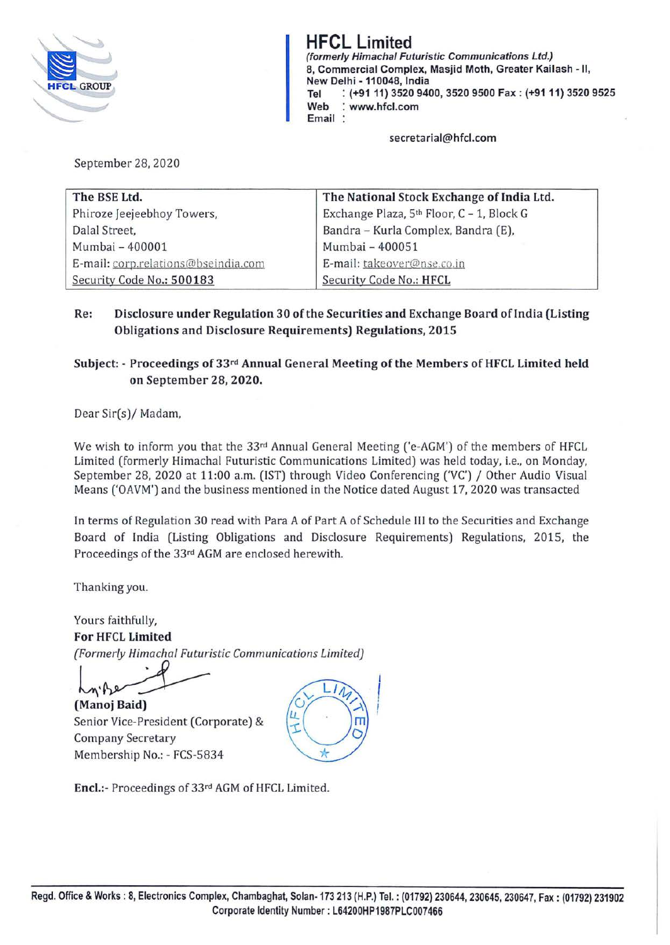

**HFCL Limited (formerly Himachal Futuristic Communications Ltd.) 8, Commercial Complex, Masjid Moth, Greater Kailash -11, New Delhi -110048, India Tel** : **(+91 11) 3520 9400, 3520 9500 Fax: (+9111) 3520 9525 Web** : **www.hfcl.com Email** :

**secretarial@hfcl.com** 

September 28, 2020

| The National Stock Exchange of India Ltd.<br>The BSE Ltd. |                                           |  |
|-----------------------------------------------------------|-------------------------------------------|--|
| Phiroze Jeejeebhoy Towers,                                | Exchange Plaza, 5th Floor, C - 1, Block G |  |
| Dalal Street,                                             | Bandra - Kurla Complex, Bandra (E),       |  |
| Mumbai - 400001                                           | Mumbai - 400051                           |  |
| E-mail: corp.relations@bseindia.com                       | E-mail: takeover@nse.co.in                |  |
| Security Code No.: 500183                                 | Security Code No.: HFCL                   |  |

**Re: Disclosure under Regulation 30 of the Securities and Exchange Board of India (Listing Obligations and Disclosure Requirements) Regulations, 2015** 

# **Subject:** - **Proceedings of 33rd Annual General Meeting of the Members of HFCL Limited held on September 28, 2020.**

Dear Sir(s)/ Madam,

We wish to inform you that the 33rd Annual General Meeting ('e-AGM') of the members of HFCL Limited (formerly Himachal Futuristic Communications Limited) was held today, i.e., on Monday, September 28, 2020 at 11:00 a.m. (IST) through Video Conferencing ('VC') / Other Audio Visual Means ('OAVM') and the business mentioned in the Notice dated August 17, 2020 was transacted

In terms of Regulation 30 read with Para A of Part A of Schedule III to the Securities and Exchange Board of India (Listing Obligations and Disclosure Requirements) Regulations, 2015, the Proceedings of the 33rd AGM are enclosed herewith.

Thanking you.

Yours faithfully, **For HFCL Limited**  *(Formerly Himachal Futuristic Communications Limited)* 

m<sup>.</sup> Be<br>Manoj Baid)

**(Manoj Baid)** Senior Vice-President (Corporate) & Company Secretary Membership No.: - FCS-5834



**Encl.:-** Proceedings of 33rd AGM of HFCL Limited.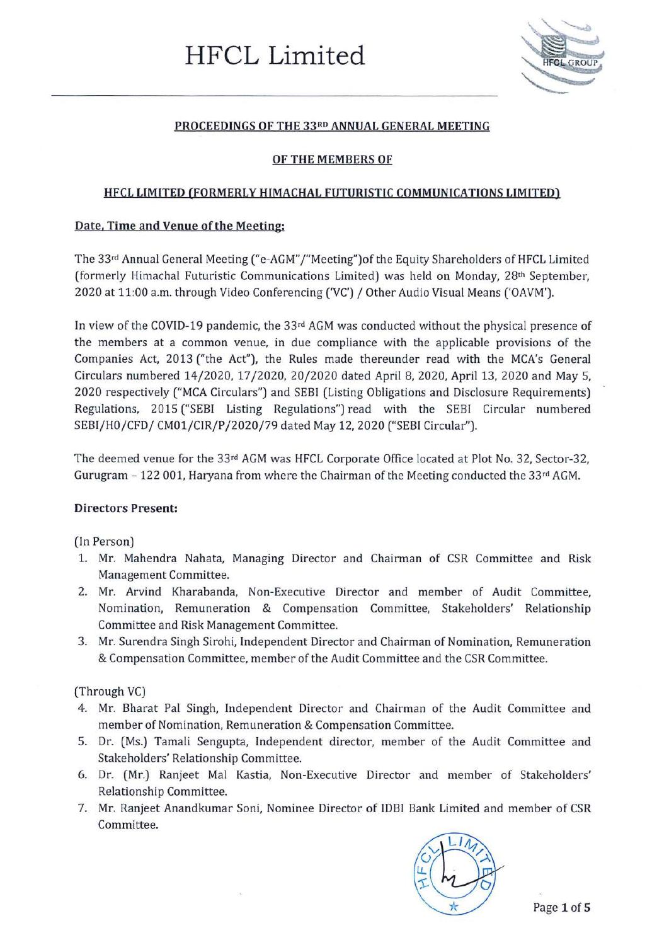

## **PROCEEDINGS OF THE 33RD ANNUAL GENERAL MEETING**

## **OF THE MEMBERS OF**

#### **HFCL LIMITED (FORMERLY HIMACHAL FUTURISTIC COMMUNICATIONS LIMITED)**

#### **Date, Time and Venue of the Meeting:**

The 33rd Annual General Meeting ("e-AGM"/"Meeting") of the Equity Shareholders of HFCL Limited (formerly Himachal Futuristic Communications Limited) was held on Monday, 28th September, 2020 at 11:00 a.m. through Video Conferencing ('VC') / Other Audio Visual Means ('OAVM').

In view of the COVID-19 pandemic, the 33rd AGM was conducted without the physical presence of the members at a common venue, in due compliance with the applicable provisions of the Companies Act, 2013 ("the Act"), the Rules made thereunder read with the MCA's General Circulars numbered 14/2020, 17 /2020, 20/2020 dated April 8, 2020, April 13, 2020 and May 5, 2020 respectively ("MCA Circulars") and SEBI (Listing Obligations and Disclosure Requirements) Regulations, 2015 ("SEBI Listing Regulations") read with the SEBI Circular numbered SEBI/HO/CFD/ CM01/CIR/P/2020/79 dated May 12, 2020 ("SEBI Circular").

The deemed venue for the 33rd AGM was HFCL Corporate Office located at Plot No. 32, Sector-32, Gurugram  $-122001$ , Haryana from where the Chairman of the Meeting conducted the 33<sup>rd</sup> AGM.

# **Directors Present:**

(In Person)

- 1. Mr. Mahendra Nahata, Managing Director and Chairman of CSR Committee and Risk Management Committee.
- 2. Mr. Arvind Kharabanda, Non-Executive Director and member of Audit Committee, Nomination, Remuneration & Compensation Committee, Stakeholders' Relationship Committee and Risk Management Committee.
- 3. Mr. Surendra Singh Sirohi, Independent Director and Chairman of Nomination, Remuneration & Compensation Committee, member of the Audit Committee and the CSR Committee.

(Through VC)

- 4. Mr. Bharat Pal Singh, Independent Director and Chairman of the Audit Committee and member of Nomination, Remuneration & Compensation Committee.
- 5. Dr. (Ms.) Tamali Sengupta, Independent director, member of the Audit Committee and Stakeholders' Relationship Committee.
- 6. Dr. (Mr.) Ranjeet Mal Kastia, Non-Executive Director and member of Stakeholders' Relationship Committee.
- 7. Mr. Ranjeet Anandkumar Soni, Nominee Director of IDBI Bank Limited and member of CSR Committee.

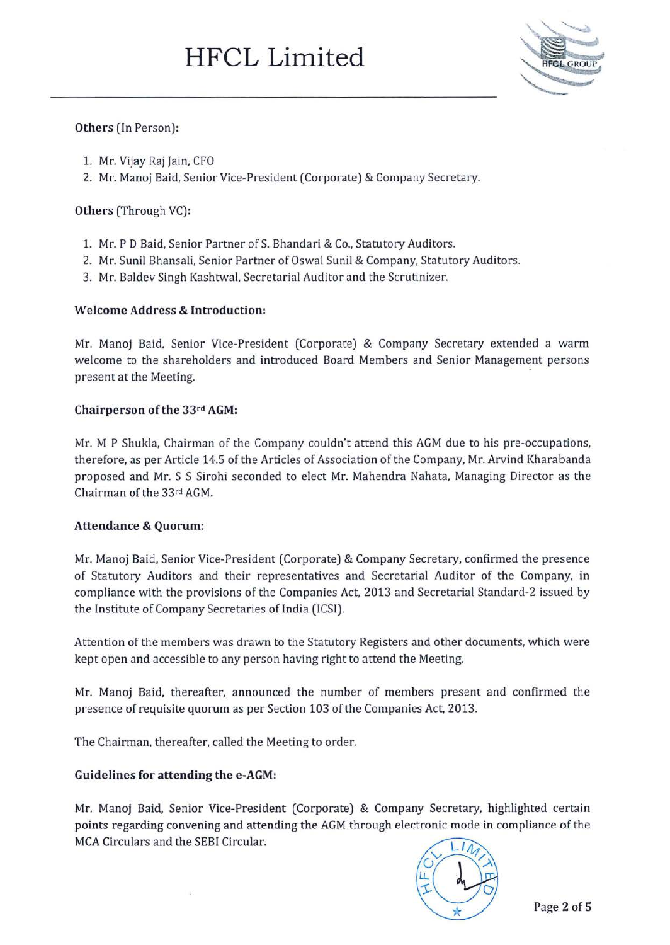

## **Others** (In Person):

- 1. Mr. Vijay Raj Jain, CFO
- 2. Mr. Manoj Baid, Senior Vice-President (Corporate) & Company Secretary.

## **Others** (Through VC):

- 1. Mr. P D Baid, Senior Partner of S. Bhandari & Co., Statutory Auditors.
- 2. Mr. Sunil Bhansali, Senior Partner of Oswal Sunil & Company, Statutory Auditors.
- 3. Mr. Baldev Singh Kashtwal, Secretarial Auditor and the Scrutinizer.

## **Welcome Address & Introduction:**

Mr. Manoj Baid, Senior Vice-President (Corporate) & Company Secretary extended a warm welcome to the shareholders and introduced Board Members and Senior Management persons present at the Meeting.

#### **Chairperson of the** 33rd **AGM:**

Mr. M P Shukla, Chairman of the Company couldn't attend this AGM due to his pre-occupations, therefore, as per Article 14.5 of the Articles of Association of the Company, Mr. Arvind Kharabanda proposed and Mr. S S Sirohi seconded to elect Mr. Mahendra Nahata, Managing Director as the Chairman of the 33rd AGM.

#### **Attendance & Quorum:**

Mr. Manoj Baid, Senior Vice-President (Corporate) & Company Secretary, confirmed the presence of Statutory Auditors and their representatives and Secretarial Auditor of the Company, in compliance with the provisions of the Companies Act, 2013 and Secretarial Standard-2 issued by the Institute of Company Secretaries of India (ICSI).

Attention of the members was drawn to the Statutory Registers and other documents, which were kept open and accessible to any person having right to attend the Meeting.

Mr. Manoj Baid, thereafter, announced the number of members present and confirmed the presence of requisite quorum as per Section 103 of the Companies Act, 2013.

The Chairman, thereafter, called the Meeting to order.

# **Guidelines for attending the e-AGM:**

Mr. Manoj Said, Senior Vice-President (Corporate) & Company Secretary, highlighted certain points regarding convening and attending the AGM through electronic mode in compliance of the MCA Circulars and the SEBI Circular.

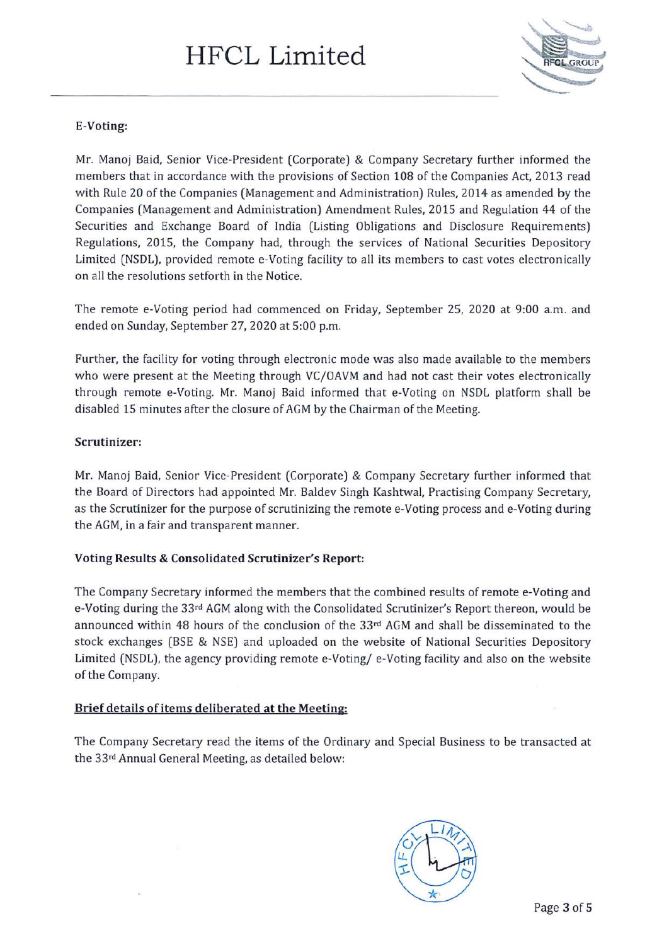

# **E-Voting:**

Mr. Manoj Baid, Senior Vice-President (Corporate) & Company Secretary further informed the members that in accordance with the provisions of Section 108 of the Companies Act, 2013 read with Rule 20 of the Companies (Management and Administration) Rules, 2014 as amended by the Companies (Management and Administration) Amendment Rules, 2015 and Regulation 44 of the Securities and Exchange Board of India (Listing Obligations and Disclosure Requirements) Regulations, 2015, the Company had, through the services of National Securities Depository Limited (NSDL), provided remote e-Voting facility to all its members to cast votes electronically on all the resolutions setforth in the Notice.

The remote e-Voting period had commenced on Friday, September 25, 2020 at 9:00 a.m. and ended on Sunday, September 27, 2020 at 5:00 p.m.

Further, the facility for voting through electronic mode was also made available to the members who were present at the Meeting through VC/OAVM and had not cast their votes electronically through remote e-Voting. Mr. Manoj Baid informed that e-Voting on NSDL platform shall be disabled 15 minutes after the closure of AGM by the Chairman of the Meeting.

# **Scrutinizer:**

Mr. Manoj Baid, Senior Vice-President (Corporate) & Company Secretary further informed that the Board of Directors had appointed Mr. Baldev Singh Kashtwal, Practising Company Secretary, as the Scrutinizer for the purpose of scrutinizing the remote e-Voting process and e-Voting during the AGM, in a fair and transparent manner.

# **Voting Results & Consolidated Scrutinizer's Report:**

The Company Secretary informed the members that the combined results of remote e-Voting and e-Voting during the 33rd AGM along with the Consolidated Scrutinizer's Report thereon, would be announced within 48 hours of the conclusion of the 33rd AGM and shall be disseminated to the stock exchanges (BSE & NSE) and uploaded on the website of National Securities Depository Limited (NSDL), the agency providing remote e-Voting/ e-Voting facility and also on the website of the Company.

#### **Brief details of items deliberated at the Meeting:**

The Company Secretary read the items of the Ordinary and Special Business to be transacted at the 33rd Annual General Meeting, as detailed below:

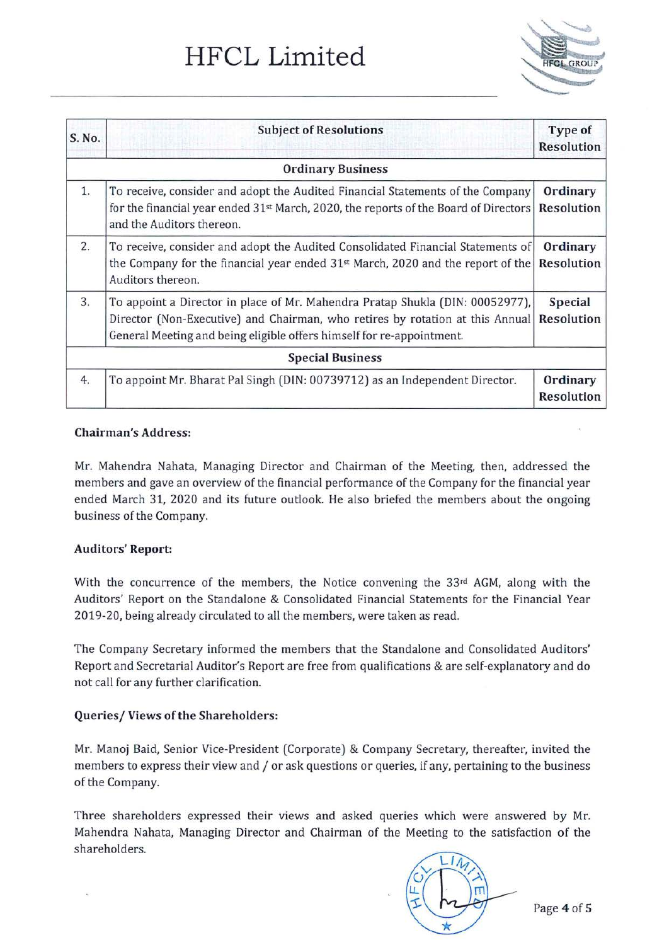# **HFCL Limited**



| S. No.                   | <b>Subject of Resolutions</b>                                                                                                                                                                                                           | Type of<br>Resolution        |  |
|--------------------------|-----------------------------------------------------------------------------------------------------------------------------------------------------------------------------------------------------------------------------------------|------------------------------|--|
| <b>Ordinary Business</b> |                                                                                                                                                                                                                                         |                              |  |
| 1.                       | To receive, consider and adopt the Audited Financial Statements of the Company<br>for the financial year ended $31^{st}$ March, 2020, the reports of the Board of Directors<br>and the Auditors thereon.                                | Ordinary<br>Resolution       |  |
| 2.                       | To receive, consider and adopt the Audited Consolidated Financial Statements of<br>the Company for the financial year ended $31st$ March, 2020 and the report of the<br>Auditors thereon.                                               | Ordinary<br>Resolution       |  |
| 3.                       | To appoint a Director in place of Mr. Mahendra Pratap Shukla (DIN: 00052977),<br>Director (Non-Executive) and Chairman, who retires by rotation at this Annual<br>General Meeting and being eligible offers himself for re-appointment. | Special<br><b>Resolution</b> |  |
| <b>Special Business</b>  |                                                                                                                                                                                                                                         |                              |  |
| 4.                       | To appoint Mr. Bharat Pal Singh (DIN: 00739712) as an Independent Director.                                                                                                                                                             | Ordinary<br>Resolution       |  |

## **Chairman's Address:**

Mr. Mahendra Nahata, Managing Director and Chairman of the Meeting, then, addressed the members and gave an overview of the financial performance of the Company for the financial year ended March 31, 2020 and its future outlook. He also briefed the members about the ongoing business of the Company.

# **Auditors' Report:**

With the concurrence of the members, the Notice convening the 33rd AGM, along with the Auditors' Report on the Standalone & Consolidated Financial Statements for the Financial Year 2019-20, being already circulated to all the members, were taken as read.

The Company Secretary informed the members that the Standalone and Consolidated Auditors' Report and Secretarial Auditor's Report are free from qualifications & are self-explanatory and do not call for any further clarification.

# **Queries/ Views of the Shareholders:**

Mr. Manoj Baid, Senior Vice-President (Corporate) & Company Secretary, thereafter, invited the members to express their view and / or ask questions or queries, if any, pertaining to the business of the Company.

Three shareholders expressed their views and asked queries which were answered by Mr. Mahendra Nahata, Managing Director and Chairman of the Meeting to the satisfaction of the shareholders.